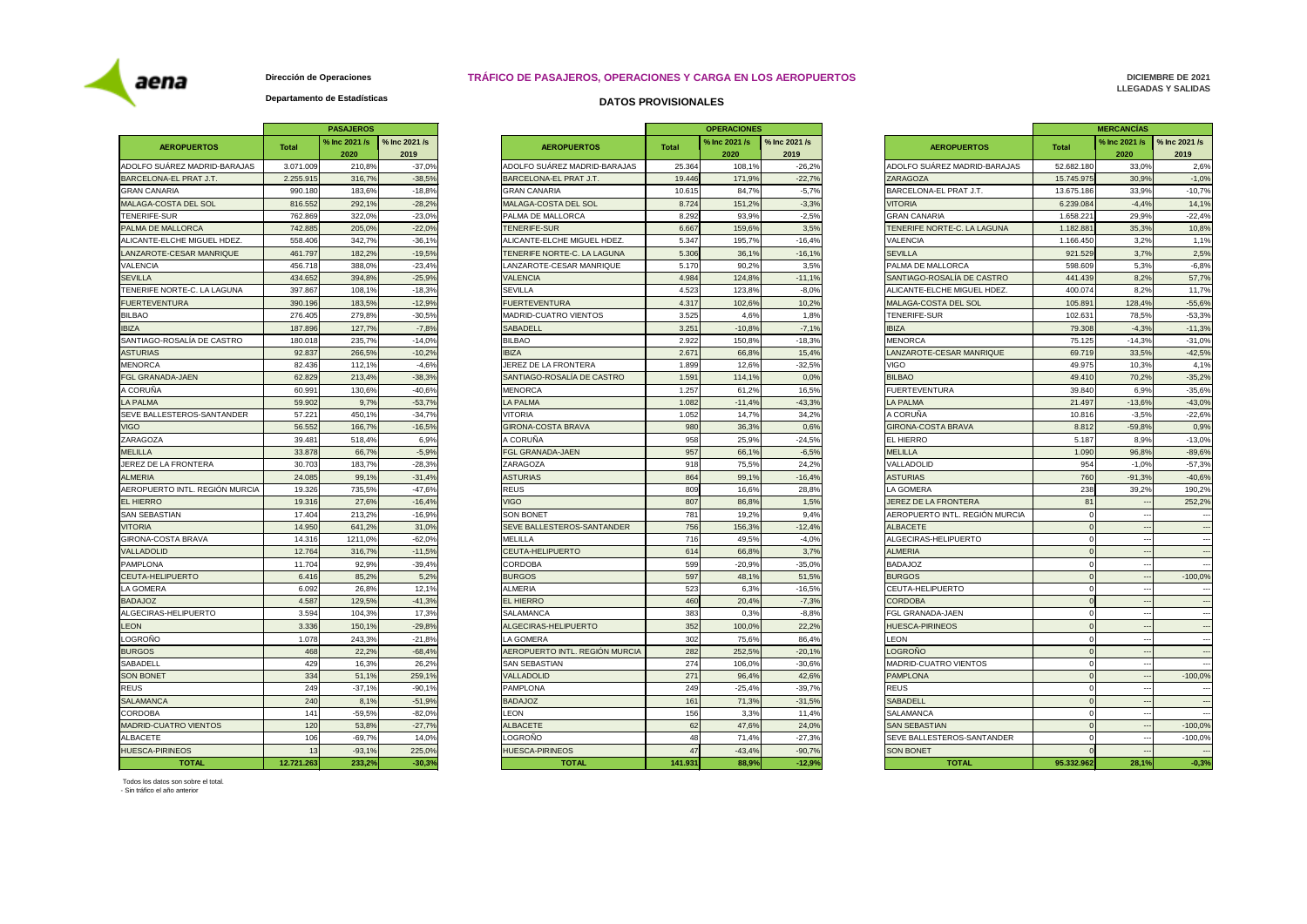#### **DICIEMBRE DE 2021 LLEGADAS Y SALIDAS**

## **Departamento de Estadísticas**

|                                |              | <b>PASAJEROS</b>      |                       |                                |              | <b>OPERACIONES</b>    |                       |                                   | <b>MERCANCIAS</b> |                       |                          |
|--------------------------------|--------------|-----------------------|-----------------------|--------------------------------|--------------|-----------------------|-----------------------|-----------------------------------|-------------------|-----------------------|--------------------------|
| <b>AEROPUERTOS</b>             | <b>Total</b> | % Inc 2021 /s<br>2020 | % Inc 2021 /s<br>2019 | <b>AEROPUERTOS</b>             | <b>Total</b> | % Inc 2021 /s<br>2020 | % Inc 2021 /s<br>2019 | <b>AEROPUERTOS</b>                | <b>Total</b>      | % Inc 2021 /s<br>2020 | $\%$ Inc 2021 /s<br>2019 |
| ADOLFO SUÁREZ MADRID-BARAJAS   | 3.071.009    | 210,8%                | $-37,0%$              | ADOLFO SUAREZ MADRID-BARAJAS   | 25.364       | 108,1%                | $-26,2%$              | ADOLFO SUAREZ MADRID-BARAJAS      | 52.682.180        | 33,0%                 | 2,6%                     |
| BARCELONA-EL PRAT J.T.         | 2.255.915    | 316,7%                | $-38,5%$              | <b>BARCELONA-EL PRAT J.T.</b>  | 19.446       | 171,9%                | $-22,7%$              | <b>ZARAGOZA</b>                   | 15.745.975        | 30,9%                 | $-1,0%$                  |
| <b>GRAN CANARIA</b>            | 990.180      | 183,6%                | $-18,8%$              | <b>GRAN CANARIA</b>            | 10.615       | 84,7%                 | $-5,7%$               | BARCELONA-EL PRAT J.T.            | 13.675.186        | 33,9%                 | $-10,7%$                 |
| MALAGA-COSTA DEL SOL           | 816.552      | 292,1%                | $-28,2%$              | MALAGA-COSTA DEL SOL           | 8.724        | 151,2%                | $-3,3%$               | <b>VITORIA</b>                    | 6.239.084         | $-4,4%$               | 14,1%                    |
| TENERIFE-SUR                   | 762.869      | 322,0%                | $-23,0%$              | PALMA DE MALLORCA              | 8.292        | 93,9%                 | $-2,5%$               | GRAN CANARIA                      | 1.658.221         | 29,9%                 | $-22,4%$                 |
| PALMA DE MALLORCA              | 742.885      | 205,0%                | $-22,0%$              | <b>TENERIFE-SUR</b>            | 6.667        | 159,6%                | 3,5%                  | TENERIFE NORTE-C. LA LAGUNA       | 1.182.881         | 35,3%                 | 10,8%                    |
| ALICANTE-ELCHE MIGUEL HDEZ.    | 558.406      | 342,7%                | $-36,1%$              | ALICANTE-ELCHE MIGUEL HDEZ.    | 5.347        | 195,7%                | $-16,4%$              | <b>VALENCIA</b>                   | 1.166.450         | 3,2%                  | 1,1%                     |
| LANZAROTE-CESAR MANRIQUE       | 461.797      | 182,2%                | $-19,5%$              | TENERIFE NORTE-C. LA LAGUNA    | 5.306        | 36,1%                 | $-16,1%$              | <b>SEVILLA</b>                    | 921.529           | 3,7%                  | 2,5%                     |
| VALENCIA                       | 456.718      | 388,0%                | $-23,4%$              | LANZAROTE-CESAR MANRIQUE       | 5.170        | 90,2%                 | 3,5%                  | <b>PALMA DE MALLORCA</b>          | 598.609           | 5,3%                  | $-6,8%$                  |
| <b>SEVILLA</b>                 | 434.652      | 394,8%                | $-25,9%$              | <b>VALENCIA</b>                | 4.984        | 124,8%                | $-11,1%$              | SANTIAGO-ROSALÍA DE CASTRO        | 441.439           | 8,2%                  | 57,7%                    |
| TENERIFE NORTE-C. LA LAGUNA    | 397.867      | 108,1%                | $-18,3%$              | <b>SEVILLA</b>                 | 4.523        | 123,8%                | $-8,0%$               | ALICANTE-ELCHE MIGUEL HDEZ.       | 400.074           | 8,2%                  | 11,7%                    |
| <b>FUERTEVENTURA</b>           | 390.196      | 183,5%                | $-12,9%$              | FUERTEVENTURA                  | 4.317        | 102,6%                | 10,2%                 | <b>MALAGA-COSTA DEL SOL</b>       | 105.891           | 128,4%                | $-55,6%$                 |
| BILBAO                         | 276.405      | 279,8%                | $-30,5%$              | <b>MADRID-CUATRO VIENTOS</b>   | 3.525        | 4,6%                  | 1,8%                  | <b>TENERIFE-SUR</b>               | 102.631           | 78,5%                 | $-53,3%$                 |
| <b>IBIZA</b>                   | 187.896      | 127,7%                | $-7,8%$               | <b>SABADELL</b>                | 3.251        | $-10,8%$              | $-7,1%$               | <b>IBIZA</b>                      | 79.308            | $-4,3%$               | $-11,3%$                 |
| SANTIAGO-ROSALÍA DE CASTRO     | 180.018      | 235,7%                | $-14,0%$              | <b>BILBAO</b>                  | 2.922        | 150,8%                | $-18,3%$              | <b>MENORCA</b>                    | 75.125            | $-14,3%$              | $-31,0%$                 |
| <b>ASTURIAS</b>                | 92.837       | 266,5%                | $-10,2%$              | <b>IBIZA</b>                   | 2.671        | 66,8%                 | 15,4%                 | LANZAROTE-CESAR MANRIQUE          | 69.719            | 33,5%                 | $-42,5%$                 |
| MENORCA                        | 82.436       | 112,1%                | $-4,6%$               | JEREZ DE LA FRONTERA           | 1.899        | 12,6%                 | $-32,5%$              | VIGO                              | 49.975            | 10,3%                 | 4,1%                     |
| <b>FGL GRANADA-JAEN</b>        | 62.829       | 213,4%                | $-38,3%$              | SANTIAGO-ROSALÍA DE CASTRO     | 1.591        | 114,1%                | 0,0%                  | <b>BILBAO</b>                     | 49.410            | 70,2%                 | $-35,2%$                 |
| A CORUÑA                       | 60.991       | 130,6%                | $-40,6%$              | <b>MENORCA</b>                 | 1.257        | 61,2%                 | 16,5%                 | <b>FUERTEVENTURA</b>              | 39.840            | 6,9%                  | $-35,6%$                 |
| <b>LA PALMA</b>                | 59.902       | 9,7%                  | $-53,7%$              | <b>LA PALMA</b>                | 1.082        | $-11,4%$              | $-43,3%$              | <b>LA PALMA</b>                   | 21.497            | $-13,6%$              | $-43,0%$                 |
| SEVE BALLESTEROS-SANTANDER     | 57.221       | 450,1%                | $-34,7%$              | <b>VITORIA</b>                 | 1.052        | 14,7%                 | 34,2%                 | A CORUÑA                          | 10.816            | $-3,5%$               | $-22,6%$                 |
| VIGO.                          | 56.552       | 166,7%                | $-16,5%$              | GIRONA-COSTA BRAVA             | 980          | 36,3%                 | 0.6%                  | GIRONA-COSTA BRAVA                | 8.812             | $-59.8%$              | 0,9%                     |
| ZARAGOZA                       | 39.481       | 518,4%                | 6,9%                  | A CORUÑA                       | 958          | 25,9%                 | $-24.5%$              | EL HIERRO                         | 5.187             | 8,9%                  | $-13,0%$                 |
| <b>MELILLA</b>                 | 33.878       | 66,7%                 | $-5,9%$               | <b>FGL GRANADA-JAEN</b>        | 957          | 66,1%                 | $-6.5%$               | <b>MELILLA</b>                    | 1.090             | 96,8%                 | $-89,6%$                 |
| JEREZ DE LA FRONTERA           | 30.703       | 183,7%                | $-28,3%$              | ZARAGOZA                       | 918          | 75,5%                 | 24,2%                 | VALLADOLID                        | 954               | $-1,0%$               | $-57,3%$                 |
| <b>ALMERIA</b>                 | 24.085       | 99,1%                 | $-31,4%$              | <b>ASTURIAS</b>                | 864          | 99,1%                 | $-16,4%$              | <b>ASTURIAS</b>                   | 760               | $-91,3%$              | $-40,6%$                 |
| AEROPUERTO INTL. REGIÓN MURCIA | 19.326       | 735,5%                | $-47,6%$              | <b>REUS</b>                    | 809          | 16,6%                 | 28,8%                 | LA GOMERA                         | 238               | 39,2%                 | 190,2%                   |
| <b>EL HIERRO</b>               | 19.316       | 27,6%                 | $-16,4%$              | <b>VIGO</b>                    | 807          | 86,8%                 | 1,5%                  | <b>JEREZ DE LA FRONTERA</b>       | 81                |                       | 252,2%                   |
| SAN SEBASTIAN                  | 17.404       | 213,2%                | $-16,9%$              | SON BONET                      | 781          | 19,2%                 | 9,4%                  | AEROPUERTO INTL. REGIÓN MURCIA    |                   |                       |                          |
| <b>VITORIA</b>                 | 14.950       | 641,2%                | 31,0%                 | SEVE BALLESTEROS-SANTANDER     | 756          | 156,3%                | $-12,4%$              | <b>ALBACETE</b>                   |                   |                       |                          |
| <b>GIRONA-COSTA BRAVA</b>      | 14.316       | 1211,0%               | $-62,0%$              | <b>MELILLA</b>                 | 716          | 49,5%                 | $-4,0%$               | ALGECIRAS-HELIPUERTO              |                   | $\sim$ $\sim$         | $\qquad \qquad -$        |
| VALLADOLID                     | 12.764       | 316,7%                | $-11,5%$              | <b>CEUTA-HELIPUERTO</b>        | 614          | 66,8%                 | 3,7%                  | <b>ALMERIA</b>                    |                   |                       | $\sim$ $\sim$            |
| PAMPLONA                       | 11.704       | 92,9%                 | $-39,4%$              | CORDOBA                        | 599          | $-20.9%$              | $-35,0%$              | <b>BADAJOZ</b>                    |                   |                       | $\sim$ $\sim$            |
| CEUTA-HELIPUERTO               | 6.416        | 85,2%                 | 5,2%                  | <b>BURGOS</b>                  | 597          | 48,1%                 | 51,5%                 | <b>BURGOS</b>                     |                   |                       | $-100,0%$                |
| LA GOMERA                      | 6.092        | 26,8%                 | 12,1%                 | ALMERIA                        | 523          | 6,3%                  | $-16,5%$              | CEUTA-HELIPUERTO                  |                   |                       |                          |
| <b>BADAJOZ</b>                 | 4.587        | 129,5%                | $-41,3%$              | <b>EL HIERRO</b>               | 460          | 20,4%                 | $-7,3%$               | <b>CORDOBA</b>                    |                   |                       | $\sim$ $\sim$ $\sim$     |
| ALGECIRAS-HELIPUERTO           | 3.594        | 104,3%                | 17,3%                 | SALAMANCA                      | 383          | 0.3%                  | $-8,8%$               | IFGL GRANADA-JAEN                 |                   |                       |                          |
| LEON                           | 3.336        | 150,1%                | $-29,8%$              | ALGECIRAS-HELIPUERTO           | 352          | 100,0%                | 22,2%                 | <b>HUESCA-PIRINEOS</b>            |                   |                       | $\hspace{0.05cm} \cdots$ |
| LOGROÑO                        | 1.078        | 243,3%                | $-21,8%$              | <b>LA GOMERA</b>               | 302          | 75,6%                 | 86,4%                 | <b>LEON</b>                       |                   |                       |                          |
| <b>BURGOS</b>                  | 468          | 22,2%                 | $-68,4%$              | AEROPUERTO INTL. REGIÓN MURCIA | 282          | 252,5%                | $-20,1%$              | <b>LOGROÑO</b>                    |                   |                       | $\sim$ $\sim$ $\sim$     |
| SABADELL                       | 429          | 16,3%                 | 26,2%                 | SAN SEBASTIAN                  | 274          | 106,0%                | $-30.6%$              | <b>MADRID-CUATRO VIENTOS</b>      |                   |                       | $\hspace{0.1em} \ldots$  |
| <b>SON BONET</b>               | 334          | 51,1%                 | 259,1%                | VALLADOLID                     | 271          | 96,4%                 | 42,6%                 | <b>PAMPLONA</b>                   |                   |                       | $-100,0%$                |
| REUS                           | 249          | $-37,1%$              | $-90,1%$              | PAMPLONA                       | 249          | $-25,4%$              | $-39,7%$              | <b>REUS</b>                       |                   |                       | $\sim$ $\sim$ $\sim$     |
| <b>SALAMANCA</b>               | 240          | 8,1%                  | $-51,9%$              | <b>BADAJOZ</b>                 | 161          | 71,3%                 | $-31,5%$              | <b>SABADELL</b>                   |                   |                       | $\sim$ $\sim$            |
| CORDOBA                        | 141          | $-59,5%$              | $-82,0%$              | <b>LEON</b>                    | 156          | 3,3%                  | 11,4%                 | <b>SALAMANCA</b>                  |                   |                       | $\sim$ $\sim$ $\sim$     |
| MADRID-CUATRO VIENTOS          | 120          | 53,8%                 | $-27,7%$              | <b>ALBACETE</b>                | 62           | 47,6%                 | 24,0%                 | <b>SAN SEBASTIAN</b>              |                   |                       | $-100,0%$                |
| <b>ALBACETE</b>                | 106          | $-69,7%$              | 14,0%                 | LOGROÑO                        | 48           | 71,4%                 | $-27,3%$              | <b>SEVE BALLESTEROS-SANTANDER</b> |                   |                       | $-100,0%$                |
| <b>HUESCA-PIRINEOS</b>         | 13           | $-93,1%$              | 225,0%                | <b>HUESCA-PIRINEOS</b>         | 47           | $-43,4%$              | $-90,7%$              | <b>SON BONET</b>                  |                   |                       | $\sim$ $\sim$            |
| <b>TOTAL</b>                   | 12.721.263   | 233.2%                | $-30.3%$              | <b>TOTAL</b>                   | 141.931      | 88.9%                 | $-12.9%$              | <b>TOTAL</b>                      | 95.332.962        | 28.1%                 | $-0.3%$                  |

| <b>PASAJEROS</b> |               |                                | <b>OPERACIONES</b> |               |               |                                   |                | <b>MERCANCIAS</b>        |               |  |  |
|------------------|---------------|--------------------------------|--------------------|---------------|---------------|-----------------------------------|----------------|--------------------------|---------------|--|--|
| % Inc 2021 /s    | % Inc 2021 /s |                                |                    | % Inc 2021 /s | % Inc 2021 /s |                                   |                | % Inc 2021 /s            | % Inc 2021 /s |  |  |
| 2020             | 2019          | <b>AEROPUERTOS</b>             | <b>Total</b>       | 2020          | 2019          | <b>AEROPUERTOS</b>                | <b>Total</b>   | 2020                     | 2019          |  |  |
| 210,8%           | $-37,0%$      | ADOLFO SUAREZ MADRID-BARAJAS   | 25.364             | 108,1%        | $-26,2%$      | ADOLFO SUAREZ MADRID-BARAJAS      | 52.682.180     | 33,0%                    | 2,6           |  |  |
| 316,7%           | $-38,5%$      | BARCELONA-EL PRAT J.T.         | 19.446             | 171,9%        | $-22,7%$      | <b>ZARAGOZA</b>                   | 15.745.975     | 30,9%                    | $-1,0$        |  |  |
| 183,6%           | $-18,8%$      | <b>GRAN CANARIA</b>            | 10.615             | 84,7%         | $-5,7%$       | <b>BARCELONA-EL PRAT J.T.</b>     | 13.675.186     | 33,9%                    | $-10,7$       |  |  |
| 292,1%           | $-28,2%$      | <b>MALAGA-COSTA DEL SOL</b>    | 8.724              | 151,2%        | $-3,3%$       | <b>VITORIA</b>                    | 6.239.084      | $-4,4%$                  | 14,1          |  |  |
| 322,0%           | $-23,0%$      | PALMA DE MALLORCA              | 8.292              | 93,9%         | $-2,5%$       | <b>GRAN CANARIA</b>               | 1.658.221      | 29,9%                    | $-22,4$       |  |  |
| 205,0%           | $-22,0%$      | <b>TENERIFE-SUR</b>            | 6.667              | 159,6%        | 3,5%          | TENERIFE NORTE-C. LA LAGUNA       | 1.182.881      | 35,3%                    | 10,8          |  |  |
| 342,7%           | $-36,1%$      | ALICANTE-ELCHE MIGUEL HDEZ.    | 5.347              | 195,7%        | $-16,4%$      | <b>VALENCIA</b>                   | 1.166.450      | 3,2%                     | 1,1           |  |  |
| 182,2%           | $-19.5%$      | TENERIFE NORTE-C. LA LAGUNA    | 5.306              | 36,1%         | $-16,1%$      | <b>SEVILLA</b>                    | 921.529        | 3,7%                     | 2,5           |  |  |
| 388,0%           | $-23,4%$      | LANZAROTE-CESAR MANRIQUE       | 5.170              | 90,2%         | 3,5%          | <b>PALMA DE MALLORCA</b>          | 598.609        | 5,3%                     | $-6,8$        |  |  |
| 394,8%           | $-25,9%$      | <b>VALENCIA</b>                | 4.984              | 124,8%        | $-11,1%$      | SANTIAGO-ROSALÍA DE CASTRO        | 441.439        | 8,2%                     | 57,7          |  |  |
| 108,1%           | $-18,3%$      | <b>SEVILLA</b>                 | 4.523              | 123,8%        | $-8,0%$       | ALICANTE-ELCHE MIGUEL HDEZ.       | 400.074        | 8,2%                     | 11,7          |  |  |
| 183,5%           | $-12,9%$      | <b>FUERTEVENTURA</b>           | 4.317              | 102,6%        | 10,2%         | MALAGA-COSTA DEL SOL              | 105.891        | 128,4%                   | $-55,6$       |  |  |
| 279,8%           | $-30,5%$      | <b>MADRID-CUATRO VIENTOS</b>   | 3.525              | 4,6%          | 1,8%          | TENERIFE-SUR                      | 102.631        | 78,5%                    | $-53.3$       |  |  |
| 127,7%           | $-7,8%$       | <b>SABADELL</b>                | 3.251              | $-10,8%$      | $-7,1%$       | <b>IBIZA</b>                      | 79.308         | $-4,3%$                  | $-11,3$       |  |  |
| 235,7%           | $-14,0%$      | <b>BILBAO</b>                  | 2.922              | 150,8%        | $-18,3%$      | <b>MENORCA</b>                    | 75.125         | $-14,3%$                 | $-31,0$       |  |  |
| 266,5%           | $-10,2%$      | <b>IBIZA</b>                   | 2.671              | 66,8%         | 15,4%         | LANZAROTE-CESAR MANRIQUE          | 69.719         | 33,5%                    | $-42,5$       |  |  |
| 112,1%           | $-4.6%$       | JEREZ DE LA FRONTERA           | 1.899              | 12,6%         | $-32,5%$      | <b>VIGO</b>                       | 49.975         | 10,3%                    | 4,1           |  |  |
| 213,4%           | $-38,3%$      | SANTIAGO-ROSALÍA DE CASTRO     | 1.591              | 114,1%        | 0,0%          | <b>BILBAO</b>                     | 49.410         | 70,2%                    | $-35,2$       |  |  |
| 130,6%           | $-40,6%$      | <b>MENORCA</b>                 | 1.257              | 61,2%         | 16,5%         | <b>FUERTEVENTURA</b>              | 39.840         | 6,9%                     | $-35.6$       |  |  |
| 9,7%             | $-53,7%$      | <b>LA PALMA</b>                | 1.082              | $-11,4%$      | $-43,3%$      | <b>LA PALMA</b>                   | 21.497         | $-13,6%$                 | $-43,0$       |  |  |
| 450,1%           | $-34,7%$      | <b>VITORIA</b>                 | 1.052              | 14,7%         | 34,2%         | A CORUÑA                          | 10.816         | $-3,5%$                  | $-22,6$       |  |  |
| 166,7%           | $-16,5%$      | <b>GIRONA-COSTA BRAVA</b>      | 980                | 36,3%         | 0,6%          | <b>GIRONA-COSTA BRAVA</b>         | 8.812          | $-59,8%$                 | 0,9           |  |  |
| 518,4%           | 6,9%          | A CORUÑA                       | 958                | 25,9%         | $-24,5%$      | EL HIERRO                         | 5.187          | 8,9%                     | $-13,0$       |  |  |
| 66,7%            | $-5,9%$       | <b>FGL GRANADA-JAEN</b>        | 957                | 66,1%         | $-6,5%$       | <b>MELILLA</b>                    | 1.090          | 96,8%                    | $-89,6$       |  |  |
| 183,7%           | $-28,3%$      | <b>ZARAGOZA</b>                | 918                | 75,5%         | 24,2%         | <b>VALLADOLID</b>                 | 954            | $-1,0%$                  | $-57,3$       |  |  |
| 99,1%            | $-31,4%$      | <b>ASTURIAS</b>                | 864                | 99,1%         | $-16,4%$      | <b>ASTURIAS</b>                   | 760            | $-91,3%$                 | $-40,6$       |  |  |
| 735,5%           | $-47,6%$      | <b>REUS</b>                    | 809                | 16,6%         | 28,8%         | <b>LA GOMERA</b>                  | 238            | 39,2%                    | 190,2         |  |  |
| 27,6%            | $-16,4%$      | <b>VIGO</b>                    | 807                | 86,8%         | 1,5%          | <b>JEREZ DE LA FRONTERA</b>       | 81             |                          | 252,2         |  |  |
| 213,2%           | $-16.9%$      | <b>SON BONET</b>               | 781                | 19,2%         | 9,4%          | AEROPUERTO INTL. REGIÓN MURCIA    |                |                          |               |  |  |
| 641,2%           | 31,0%         | SEVE BALLESTEROS-SANTANDER     | 756                | 156,3%        | $-12,4%$      | <b>ALBACETE</b>                   |                | $- -$                    |               |  |  |
| 1211,0%          | $-62,0%$      | <b>MELILLA</b>                 | 716                | 49,5%         | $-4,0%$       | ALGECIRAS-HELIPUERTO              |                | ---                      |               |  |  |
| 316,7%           | $-11,5%$      | <b>CEUTA-HELIPUERTO</b>        | 614                | 66,8%         | 3,7%          | <b>ALMERIA</b>                    | $\overline{0}$ | $---$                    |               |  |  |
| 92,9%            | $-39,4%$      | <b>CORDOBA</b>                 | 599                | $-20,9%$      | $-35,0%$      | <b>BADAJOZ</b>                    |                | --                       |               |  |  |
| 85,2%            | 5,2%          | <b>BURGOS</b>                  | 597                | 48,1%         | 51,5%         | <b>BURGOS</b>                     |                | $---$                    | $-100,0$      |  |  |
| 26,8%            | 12,1%         | <b>ALMERIA</b>                 | 523                | 6,3%          | $-16,5%$      | CEUTA-HELIPUERTO                  |                | $\overline{\phantom{a}}$ |               |  |  |
| 129,5%           | $-41,3%$      | <b>EL HIERRO</b>               | 460                | 20,4%         | $-7,3%$       | <b>CORDOBA</b>                    |                |                          |               |  |  |
| 104,3%           | 17,3%         | <b>SALAMANCA</b>               | 383                | 0,3%          | $-8,8%$       | <b>FGL GRANADA-JAEN</b>           |                | $--$                     |               |  |  |
| 150,1%           | $-29,8%$      | ALGECIRAS-HELIPUERTO           | 352                | 100,0%        | 22,2%         | <b>HUESCA-PIRINEOS</b>            |                | $- -$                    |               |  |  |
| 243,3%           | $-21,8%$      | LA GOMERA                      | 302                | 75,6%         | 86,4%         | LEON                              |                | $--$                     |               |  |  |
| 22,2%            | $-68,4%$      | AEROPUERTO INTL. REGIÓN MURCIA | 282                | 252,5%        | $-20,1%$      | LOGROÑO                           |                | --                       |               |  |  |
| 16,3%            | 26,2%         | <b>SAN SEBASTIAN</b>           | 274                | 106,0%        | $-30,6%$      | MADRID-CUATRO VIENTOS             |                | ---                      |               |  |  |
| 51,1%            | 259,1%        | <b>VALLADOLID</b>              | 271                | 96,4%         | 42,6%         | <b>PAMPLONA</b>                   |                | $\scriptstyle\cdots$     | $-100,0$      |  |  |
| $-37,1%$         | $-90,1%$      | <b>PAMPLONA</b>                | 249                | $-25,4%$      | $-39,7%$      | <b>REUS</b>                       |                | ---                      |               |  |  |
| 8,1%             | $-51,9%$      | <b>BADAJOZ</b>                 | 161                | 71,3%         | $-31,5%$      | <b>SABADELL</b>                   |                | ---                      |               |  |  |
| $-59,5%$         | $-82,0%$      | LEON                           | 156                | 3,3%          | 11,4%         | <b>SALAMANCA</b>                  |                | $--$                     |               |  |  |
| 53,8%            | $-27,7%$      | <b>ALBACETE</b>                | 62                 | 47,6%         | 24,0%         | <b>SAN SEBASTIAN</b>              |                | $---$                    | $-100,0$      |  |  |
| $-69,7%$         | 14,0%         | LOGROÑO                        | 48                 | 71,4%         | $-27,3%$      | <b>SEVE BALLESTEROS-SANTANDER</b> |                | --                       | $-100,0$      |  |  |
| $-93,1%$         | 225,0%        | <b>HUESCA-PIRINEOS</b>         | 47                 | $-43,4%$      | $-90,7%$      | <b>SON BONET</b>                  |                | $\sim$                   |               |  |  |
| 233,2%           | $-30,3%$      | <b>TOTAL</b>                   | 141.931            | 88,9%         | $-12,9%$      | <b>TOTAL</b>                      | 95.332.962     | 28,1%                    | -0,           |  |  |
|                  |               |                                |                    |               |               |                                   |                |                          |               |  |  |

|                                |            | <b>PASAJEROS</b>      |                       |                   |
|--------------------------------|------------|-----------------------|-----------------------|-------------------|
| <b>AEROPUERTOS</b>             | Total      | % Inc 2021 /s<br>2020 | % Inc 2021 /s<br>2019 |                   |
| ADOLFO SUÁREZ MADRID-BARAJAS   | 3.071.009  | 210,8%                | $-37,0%$              | <b>ADOLFO SU</b>  |
| BARCELONA-EL PRAT J.T.         | 2.255.915  | 316,7%                | $-38,5%$              | <b>BARCELON</b>   |
| <b>GRAN CANARIA</b>            | 990.180    | 183,6%                | $-18,8%$              | <b>GRAN CANA</b>  |
| MALAGA-COSTA DEL SOL           | 816.552    | 292,1%                | $-28,2%$              | <b>MALAGA-CC</b>  |
| TENERIFE-SUR                   | 762.869    | 322,0%                | $-23,0%$              | PALMA DE N        |
| PALMA DE MALLORCA              | 742.885    | 205,0%                | $-22,0%$              | <b>TENERIFE-S</b> |
| ALICANTE-ELCHE MIGUEL HDEZ.    | 558.406    | 342,7%                | $-36,1%$              | <b>ALICANTE-E</b> |
| LANZAROTE-CESAR MANRIQUE       | 461.797    | 182,2%                | $-19,5%$              | TENERIFE N        |
| VALENCIA                       | 456.718    | 388,0%                | $-23,4%$              | LANZAROTE         |
| <b>SEVILLA</b>                 | 434.652    | 394,8%                | $-25,9%$              | VALENCIA          |
| TENERIFE NORTE-C. LA LAGUNA    | 397.867    | 108,1%                | $-18,3%$              | <b>SEVILLA</b>    |
| <b>FUERTEVENTURA</b>           | 390.196    | 183,5%                | $-12,9%$              | <b>FUERTEVEN</b>  |
| <b>BILBAO</b>                  | 276.405    | 279,8%                | $-30,5%$              | <b>MADRID-CU</b>  |
| <b>IBIZA</b>                   | 187.896    | 127,7%                | $-7,8%$               | SABADELL          |
| SANTIAGO-ROSALÍA DE CASTRO     | 180.018    | 235,7%                | $-14,0%$              | <b>BILBAO</b>     |
| <b>ASTURIAS</b>                | 92.837     | 266,5%                | $-10,2%$              | <b>IBIZA</b>      |
| <b>MENORCA</b>                 | 82.436     | 112,1%                | $-4.6%$               | JEREZ DE L.       |
| <b>FGL GRANADA-JAEN</b>        | 62.829     | 213,4%                | $-38,3%$              | SANTIAGO-I        |
| A CORUÑA                       | 60.991     | 130.6%                | $-40,6%$              | <b>MENORCA</b>    |
| <b>LA PALMA</b>                | 59.902     | 9,7%                  | $-53,7%$              | LA PALMA          |
| SEVE BALLESTEROS-SANTANDER     | 57.221     | 450,1%                | $-34,7%$              | VITORIA           |
| <b>VIGO</b>                    | 56.552     | 166,7%                | $-16,5%$              | <b>GIRONA-CO</b>  |
| ZARAGOZA                       | 39.481     | 518,4%                | 6,9%                  | A CORUÑA          |
| <b>MELILLA</b>                 | 33.878     | 66,7%                 | $-5,9%$               | <b>FGL GRANA</b>  |
| JEREZ DE LA FRONTERA           | 30.703     |                       |                       | ZARAGOZA          |
| <b>ALMERIA</b>                 | 24.085     | 183,7%<br>99,1%       | $-28,3%$<br>$-31,4%$  | <b>ASTURIAS</b>   |
| AEROPUERTO INTL. REGIÓN MURCIA | 19.326     | 735,5%                | $-47,6%$              | <b>REUS</b>       |
| <b>EL HIERRO</b>               | 19.316     |                       |                       | <b>VIGO</b>       |
| SAN SEBASTIAN                  | 17.404     | 27,6%<br>213,2%       | $-16,4%$              | SON BONET         |
| <b>VITORIA</b>                 | 14.950     | 641,2%                | $-16,9%$<br>31,0%     | <b>SEVE BALLE</b> |
| GIRONA-COSTA BRAVA             | 14.316     |                       |                       | <b>MELILLA</b>    |
| VALLADOLID                     | 12.764     | 1211,0%<br>316,7%     | $-62,0%$<br>$-11,5%$  | <b>CEUTA-HEL</b>  |
|                                |            |                       |                       |                   |
| <b>PAMPLONA</b>                | 11.704     | 92,9%                 | $-39,4%$              | <b>CORDOBA</b>    |
| CEUTA-HELIPUERTO               | 6.416      | 85,2%                 | 5,2%                  | <b>BURGOS</b>     |
| LA GOMERA                      | 6.092      | 26,8%                 | 12,1%                 | <b>ALMERIA</b>    |
| <b>BADAJOZ</b>                 | 4.587      | 129,5%                | $-41,3%$              | EL HIERRO         |
| ALGECIRAS-HELIPUERTO           | 3.594      | 104,3%                | 17,3%                 | SALAMANC/         |
| <b>LEON</b>                    | 3.336      | 150,1%                | $-29,8%$              | <b>ALGECIRAS</b>  |
| LOGROÑO                        | 1.078      | 243,3%                | $-21,8%$              | LA GOMERA         |
| <b>BURGOS</b>                  | 468        | 22,2%                 | $-68,4%$              | <b>AEROPUER</b>   |
| SABADELL                       | 429        | 16,3%                 | 26,2%                 | <b>SAN SEBAS</b>  |
| <b>SON BONET</b>               | 334        | 51,1%                 | 259,1%                | VALLADOLID        |
| <b>REUS</b>                    | 249        | $-37,1%$              | $-90,1%$              | <b>PAMPLONA</b>   |
| <b>SALAMANCA</b>               | 240        | 8,1%                  | $-51,9%$              | <b>BADAJOZ</b>    |
| CORDOBA                        | 141        | $-59,5%$              | $-82,0%$              | <b>LEON</b>       |
| <b>MADRID-CUATRO VIENTOS</b>   | 120        | 53,8%                 | $-27,7%$              | <b>ALBACETE</b>   |
| ALBACETE                       | 106        | $-69,7%$              | 14,0%                 | LOGROÑO           |
| <b>HUESCA-PIRINEOS</b>         | 13         | $-93,1%$              | 225,0%                | <b>HUESCA-PIF</b> |
| <b>TOTAL</b>                   | 12.721.263 | 233,2%                | $-30,3%$              |                   |

# **DATOS PROVISIONALES**

# **TRÁFICO DE PASAJEROS, OPERACIONES Y CARGA EN LOS AEROPUERTOS**

Todos los datos son sobre el total.

- Sin tráfico el año anterior



**Dirección de Operaciones**